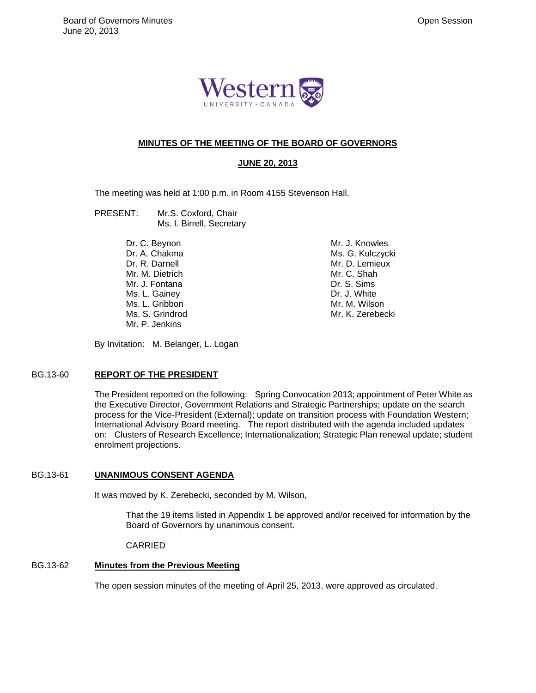

# **MINUTES OF THE MEETING OF THE BOARD OF GOVERNORS**

# **JUNE 20, 2013**

The meeting was held at 1:00 p.m. in Room 4155 Stevenson Hall.

- PRESENT: Mr.S. Coxford, Chair Ms. I. Birrell, Secretary
	- Dr. C. Beynon Dr. A. Chakma Dr. R. Darnell Mr. M. Dietrich Mr. J. Fontana Ms. L. Gainey Ms. L. Gribbon Ms. S. Grindrod Mr. P. Jenkins

Mr. J. Knowles Ms. G. Kulczycki Mr. D. Lemieux Mr. C. Shah Dr. S. Sims Dr. J. White Mr. M. Wilson Mr. K. Zerebecki

By Invitation: M. Belanger, L. Logan

### BG.13-60 **REPORT OF THE PRESIDENT**

The President reported on the following: Spring Convocation 2013; appointment of Peter White as the Executive Director, Government Relations and Strategic Partnerships; update on the search process for the Vice-President (External); update on transition process with Foundation Western; International Advisory Board meeting. The report distributed with the agenda included updates on: Clusters of Research Excellence; Internationalization; Strategic Plan renewal update; student enrolment projections.

### BG.13-61 **UNANIMOUS CONSENT AGENDA**

It was moved by K. Zerebecki, seconded by M. Wilson,

That the 19 items listed in Appendix 1 be approved and/or received for information by the Board of Governors by unanimous consent.

#### CARRIED

# BG.13-62 **Minutes from the Previous Meeting**

The open session minutes of the meeting of April 25, 2013, were approved as circulated.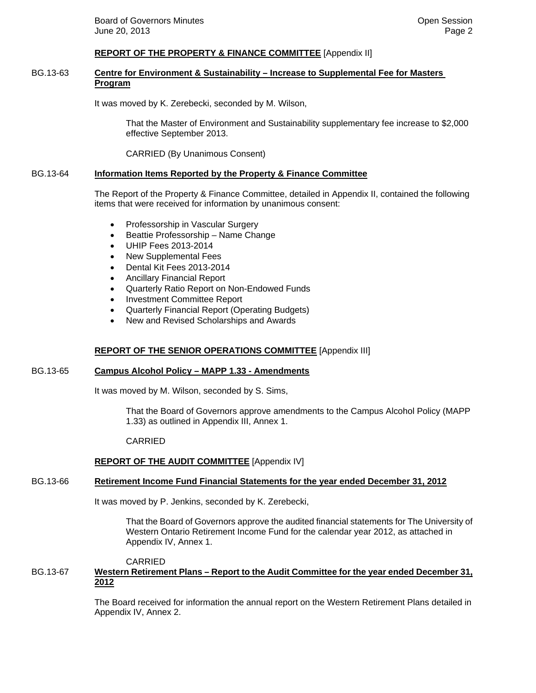### **REPORT OF THE PROPERTY & FINANCE COMMITTEE** [Appendix II]

### BG.13-63 **Centre for Environment & Sustainability – Increase to Supplemental Fee for Masters Program**

It was moved by K. Zerebecki, seconded by M. Wilson,

That the Master of Environment and Sustainability supplementary fee increase to \$2,000 effective September 2013.

CARRIED (By Unanimous Consent)

#### BG.13-64 **Information Items Reported by the Property & Finance Committee**

The Report of the Property & Finance Committee, detailed in Appendix II, contained the following items that were received for information by unanimous consent:

- Professorship in Vascular Surgery
- Beattie Professorship Name Change
- UHIP Fees 2013-2014
- New Supplemental Fees
- Dental Kit Fees 2013-2014
- Ancillary Financial Report
- Quarterly Ratio Report on Non-Endowed Funds
- Investment Committee Report
- Quarterly Financial Report (Operating Budgets)
- New and Revised Scholarships and Awards

### **REPORT OF THE SENIOR OPERATIONS COMMITTEE** [Appendix III]

#### BG.13-65 **Campus Alcohol Policy – MAPP 1.33 - Amendments**

It was moved by M. Wilson, seconded by S. Sims,

That the Board of Governors approve amendments to the Campus Alcohol Policy (MAPP 1.33) as outlined in Appendix III, Annex 1.

#### CARRIED

### **REPORT OF THE AUDIT COMMITTEE** [Appendix IV]

### BG.13-66 **Retirement Income Fund Financial Statements for the year ended December 31, 2012**

It was moved by P. Jenkins, seconded by K. Zerebecki,

That the Board of Governors approve the audited financial statements for The University of Western Ontario Retirement Income Fund for the calendar year 2012, as attached in Appendix IV, Annex 1.

#### CARRIED

# BG.13-67 **Western Retirement Plans – Report to the Audit Committee for the year ended December 31, 2012**

The Board received for information the annual report on the Western Retirement Plans detailed in Appendix IV, Annex 2.